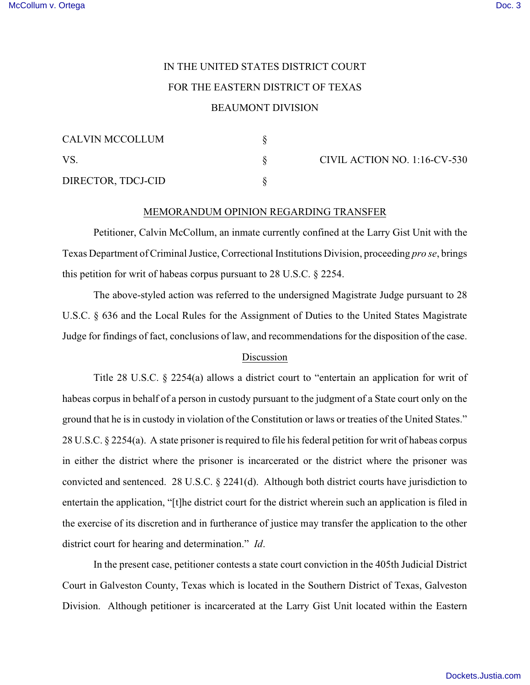## IN THE UNITED STATES DISTRICT COURT FOR THE EASTERN DISTRICT OF TEXAS BEAUMONT DIVISION

| <b>CALVIN MCCOLLUM</b> |  |
|------------------------|--|
| VS.                    |  |
| DIRECTOR, TDCJ-CID     |  |

CIVIL ACTION NO.  $1:16$ -CV-530

## MEMORANDUM OPINION REGARDING TRANSFER

Petitioner, Calvin McCollum, an inmate currently confined at the Larry Gist Unit with the Texas Department of Criminal Justice, Correctional Institutions Division, proceeding *pro se*, brings this petition for writ of habeas corpus pursuant to 28 U.S.C. § 2254.

The above-styled action was referred to the undersigned Magistrate Judge pursuant to 28 U.S.C. § 636 and the Local Rules for the Assignment of Duties to the United States Magistrate Judge for findings of fact, conclusions of law, and recommendations for the disposition of the case.

## Discussion

Title 28 U.S.C. § 2254(a) allows a district court to "entertain an application for writ of habeas corpus in behalf of a person in custody pursuant to the judgment of a State court only on the ground that he is in custody in violation of the Constitution or laws or treaties of the United States." 28 U.S.C. § 2254(a). A state prisoner is required to file his federal petition for writ of habeas corpus in either the district where the prisoner is incarcerated or the district where the prisoner was convicted and sentenced. 28 U.S.C. § 2241(d). Although both district courts have jurisdiction to entertain the application, "[t]he district court for the district wherein such an application is filed in the exercise of its discretion and in furtherance of justice may transfer the application to the other district court for hearing and determination." *Id*.

In the present case, petitioner contests a state court conviction in the 405th Judicial District Court in Galveston County, Texas which is located in the Southern District of Texas, Galveston Division. Although petitioner is incarcerated at the Larry Gist Unit located within the Eastern